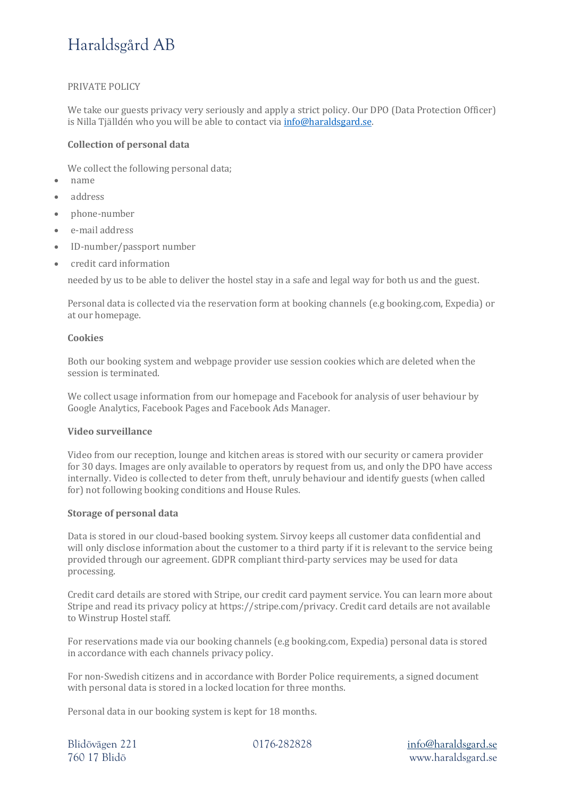# Haraldsgård AB

## PRIVATE POLICY

We take our guests privacy very seriously and apply a strict policy. Our DPO (Data Protection Officer) is Nilla Tjälldén who you will be able to contact via info@haraldsgard.se.

#### **Collection of personal data**

We collect the following personal data;

- name
- address
- phone-number
- e-mail address
- ID-number/passport number
- credit card information

needed by us to be able to deliver the hostel stay in a safe and legal way for both us and the guest.

Personal data is collected via the reservation form at booking channels (e.g booking.com, Expedia) or at our homepage.

#### **Cookies**

Both our booking system and webpage provider use session cookies which are deleted when the session is terminated.

We collect usage information from our homepage and Facebook for analysis of user behaviour by Google Analytics, Facebook Pages and Facebook Ads Manager.

## **Video surveillance**

Video from our reception, lounge and kitchen areas is stored with our security or camera provider for 30 days. Images are only available to operators by request from us, and only the DPO have access internally. Video is collected to deter from theft, unruly behaviour and identify guests (when called for) not following booking conditions and House Rules.

### **Storage of personal data**

Data is stored in our cloud-based booking system. Sirvoy keeps all customer data confidential and will only disclose information about the customer to a third party if it is relevant to the service being provided through our agreement. GDPR compliant third-party services may be used for data processing.

Credit card details are stored with Stripe, our credit card payment service. You can learn more about Stripe and read its privacy policy at https://stripe.com/privacy. Credit card details are not available to Winstrup Hostel staff.

For reservations made via our booking channels (e.g booking.com, Expedia) personal data is stored in accordance with each channels privacy policy.

For non-Swedish citizens and in accordance with Border Police requirements, a signed document with personal data is stored in a locked location for three months.

Personal data in our booking system is kept for 18 months.